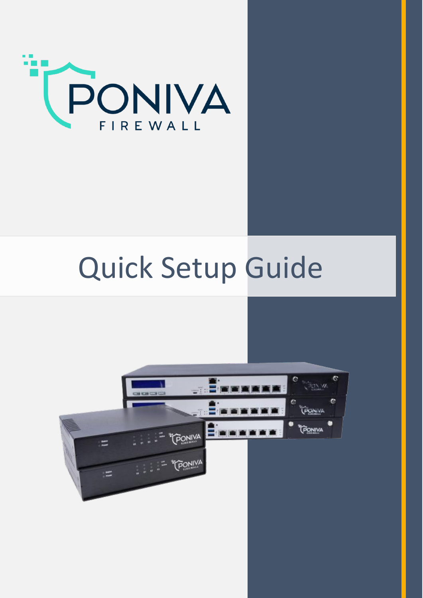

## Quick Setup Guide

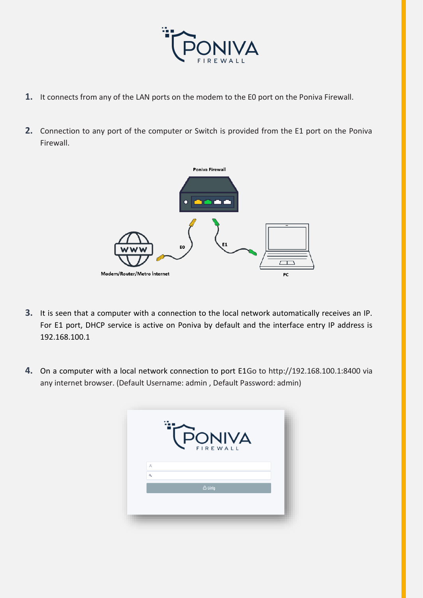

- **1.** It connects from any of the LAN ports on the modem to the E0 port on the Poniva Firewall.
- **2.** Connection to any port of the computer or Switch is provided from the E1 port on the Poniva Firewall.



- **3.** It is seen that a computer with a connection to the local network automatically receives an IP. For E1 port, DHCP service is active on Poniva by default and the interface entry IP address is 192.168.100.1
- **4.** On a computer with a local network connection to port E1Go to http://192.168.100.1:8400 via any internet browser. (Default Username: admin , Default Password: admin)

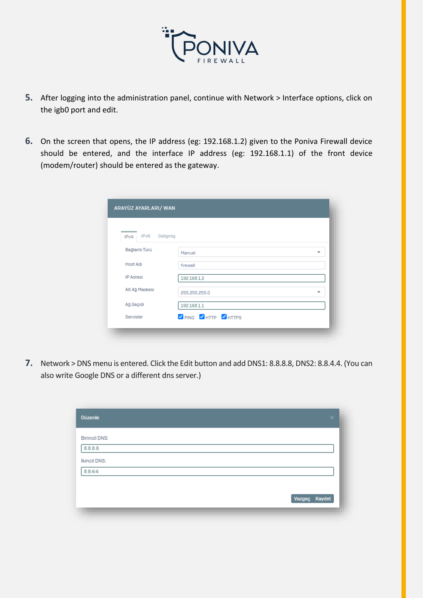

- **5.** After logging into the administration panel, continue with Network > Interface options, click on the igb0 port and edit.
- **6.** On the screen that opens, the IP address (eg: 192.168.1.2) given to the Poniva Firewall device should be entered, and the interface IP address (eg: 192.168.1.1) of the front device (modem/router) should be entered as the gateway.

| IPv6<br>Gelişmiş<br>IPv4 |                       |                          |
|--------------------------|-----------------------|--------------------------|
| Bağlantı Türü            | Manuel                | ▼                        |
| Host Adı                 | firewall              |                          |
| IP Adresi                | 192.168.1.2           |                          |
| Alt Ağ Maskesi           | 255.255.255.0         | $\overline{\phantom{a}}$ |
| Ağ Geçidi                | 192.168.1.1           |                          |
| Servisler                | V PING V HTTP V HTTPS |                          |

**7.** Network > DNS menu is entered. Click the Edit button and add DNS1: 8.8.8.8, DNS2: 8.8.4.4. (You can also write Google DNS or a different dns server.)

| <b>Düzenle</b>       | $\mathbf{H}$ . |
|----------------------|----------------|
| <b>Birincil DNS:</b> |                |
| 8.8.8.8              |                |
| İkincil DNS:         |                |
| 8.8.4.4              |                |
|                      |                |
|                      | Vazgeç Kaydet  |
|                      |                |